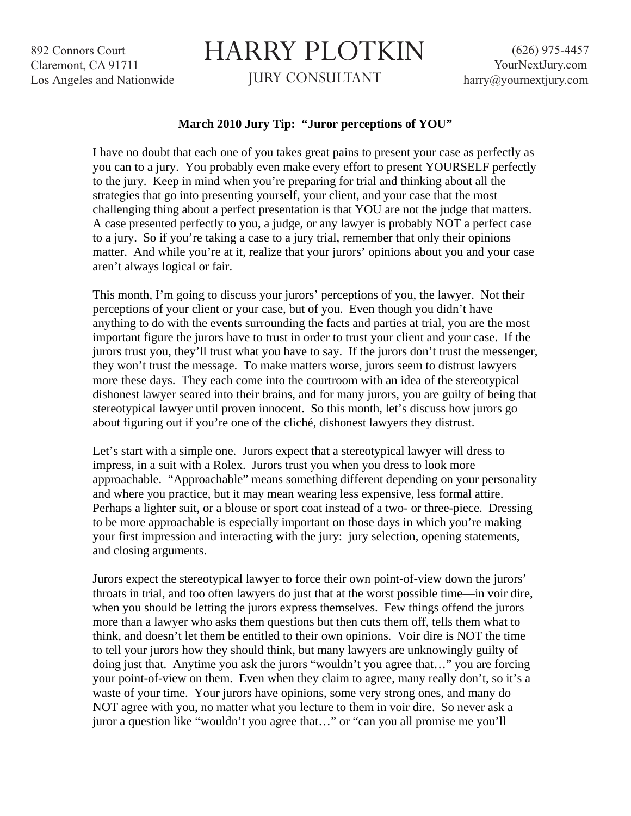892 Connors Court Claremont, CA 91711 Los Angeles and Nationwide

## HARRY PLOTKIN

JURY CONSULTANT

## **March 2010 Jury Tip: "Juror perceptions of YOU"**

I have no doubt that each one of you takes great pains to present your case as perfectly as you can to a jury. You probably even make every effort to present YOURSELF perfectly to the jury. Keep in mind when you're preparing for trial and thinking about all the strategies that go into presenting yourself, your client, and your case that the most challenging thing about a perfect presentation is that YOU are not the judge that matters. A case presented perfectly to you, a judge, or any lawyer is probably NOT a perfect case to a jury. So if you're taking a case to a jury trial, remember that only their opinions matter. And while you're at it, realize that your jurors' opinions about you and your case aren't always logical or fair.

This month, I'm going to discuss your jurors' perceptions of you, the lawyer. Not their perceptions of your client or your case, but of you. Even though you didn't have anything to do with the events surrounding the facts and parties at trial, you are the most important figure the jurors have to trust in order to trust your client and your case. If the jurors trust you, they'll trust what you have to say. If the jurors don't trust the messenger, they won't trust the message. To make matters worse, jurors seem to distrust lawyers more these days. They each come into the courtroom with an idea of the stereotypical dishonest lawyer seared into their brains, and for many jurors, you are guilty of being that stereotypical lawyer until proven innocent. So this month, let's discuss how jurors go about figuring out if you're one of the cliché, dishonest lawyers they distrust.

Let's start with a simple one. Jurors expect that a stereotypical lawyer will dress to impress, in a suit with a Rolex. Jurors trust you when you dress to look more approachable. "Approachable" means something different depending on your personality and where you practice, but it may mean wearing less expensive, less formal attire. Perhaps a lighter suit, or a blouse or sport coat instead of a two- or three-piece. Dressing to be more approachable is especially important on those days in which you're making your first impression and interacting with the jury: jury selection, opening statements, and closing arguments.

Jurors expect the stereotypical lawyer to force their own point-of-view down the jurors' throats in trial, and too often lawyers do just that at the worst possible time—in voir dire, when you should be letting the jurors express themselves. Few things offend the jurors more than a lawyer who asks them questions but then cuts them off, tells them what to think, and doesn't let them be entitled to their own opinions. Voir dire is NOT the time to tell your jurors how they should think, but many lawyers are unknowingly guilty of doing just that. Anytime you ask the jurors "wouldn't you agree that…" you are forcing your point-of-view on them. Even when they claim to agree, many really don't, so it's a waste of your time. Your jurors have opinions, some very strong ones, and many do NOT agree with you, no matter what you lecture to them in voir dire. So never ask a juror a question like "wouldn't you agree that…" or "can you all promise me you'll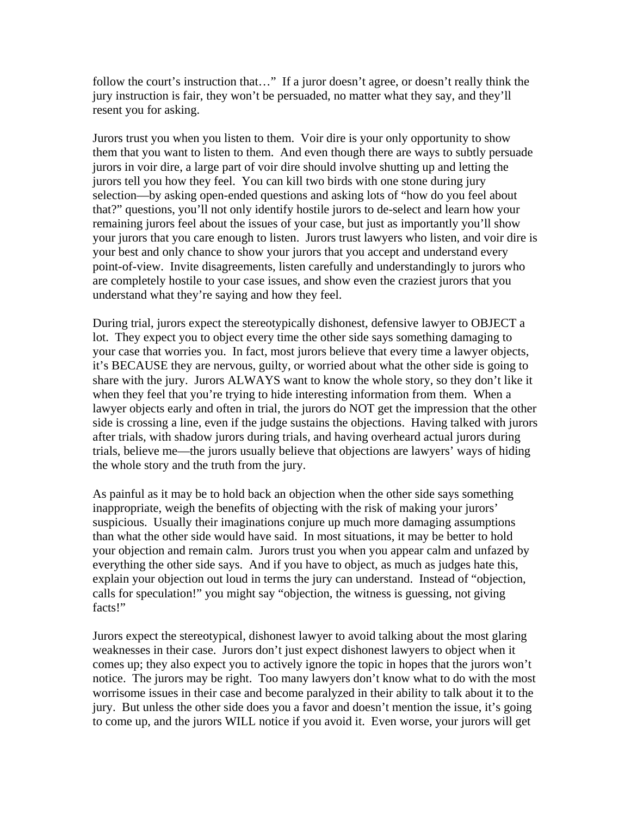follow the court's instruction that…" If a juror doesn't agree, or doesn't really think the jury instruction is fair, they won't be persuaded, no matter what they say, and they'll resent you for asking.

Jurors trust you when you listen to them. Voir dire is your only opportunity to show them that you want to listen to them. And even though there are ways to subtly persuade jurors in voir dire, a large part of voir dire should involve shutting up and letting the jurors tell you how they feel. You can kill two birds with one stone during jury selection—by asking open-ended questions and asking lots of "how do you feel about that?" questions, you'll not only identify hostile jurors to de-select and learn how your remaining jurors feel about the issues of your case, but just as importantly you'll show your jurors that you care enough to listen. Jurors trust lawyers who listen, and voir dire is your best and only chance to show your jurors that you accept and understand every point-of-view. Invite disagreements, listen carefully and understandingly to jurors who are completely hostile to your case issues, and show even the craziest jurors that you understand what they're saying and how they feel.

During trial, jurors expect the stereotypically dishonest, defensive lawyer to OBJECT a lot. They expect you to object every time the other side says something damaging to your case that worries you. In fact, most jurors believe that every time a lawyer objects, it's BECAUSE they are nervous, guilty, or worried about what the other side is going to share with the jury. Jurors ALWAYS want to know the whole story, so they don't like it when they feel that you're trying to hide interesting information from them. When a lawyer objects early and often in trial, the jurors do NOT get the impression that the other side is crossing a line, even if the judge sustains the objections. Having talked with jurors after trials, with shadow jurors during trials, and having overheard actual jurors during trials, believe me—the jurors usually believe that objections are lawyers' ways of hiding the whole story and the truth from the jury.

As painful as it may be to hold back an objection when the other side says something inappropriate, weigh the benefits of objecting with the risk of making your jurors' suspicious. Usually their imaginations conjure up much more damaging assumptions than what the other side would have said. In most situations, it may be better to hold your objection and remain calm. Jurors trust you when you appear calm and unfazed by everything the other side says. And if you have to object, as much as judges hate this, explain your objection out loud in terms the jury can understand. Instead of "objection, calls for speculation!" you might say "objection, the witness is guessing, not giving facts!"

Jurors expect the stereotypical, dishonest lawyer to avoid talking about the most glaring weaknesses in their case. Jurors don't just expect dishonest lawyers to object when it comes up; they also expect you to actively ignore the topic in hopes that the jurors won't notice. The jurors may be right. Too many lawyers don't know what to do with the most worrisome issues in their case and become paralyzed in their ability to talk about it to the jury. But unless the other side does you a favor and doesn't mention the issue, it's going to come up, and the jurors WILL notice if you avoid it. Even worse, your jurors will get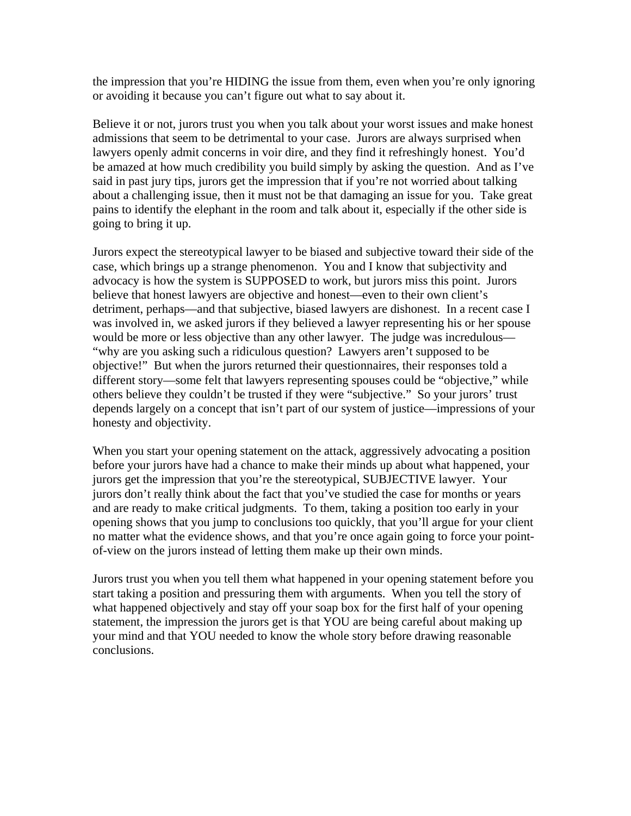the impression that you're HIDING the issue from them, even when you're only ignoring or avoiding it because you can't figure out what to say about it.

Believe it or not, jurors trust you when you talk about your worst issues and make honest admissions that seem to be detrimental to your case. Jurors are always surprised when lawyers openly admit concerns in voir dire, and they find it refreshingly honest. You'd be amazed at how much credibility you build simply by asking the question. And as I've said in past jury tips, jurors get the impression that if you're not worried about talking about a challenging issue, then it must not be that damaging an issue for you. Take great pains to identify the elephant in the room and talk about it, especially if the other side is going to bring it up.

Jurors expect the stereotypical lawyer to be biased and subjective toward their side of the case, which brings up a strange phenomenon. You and I know that subjectivity and advocacy is how the system is SUPPOSED to work, but jurors miss this point. Jurors believe that honest lawyers are objective and honest—even to their own client's detriment, perhaps—and that subjective, biased lawyers are dishonest. In a recent case I was involved in, we asked jurors if they believed a lawyer representing his or her spouse would be more or less objective than any other lawyer. The judge was incredulous— "why are you asking such a ridiculous question? Lawyers aren't supposed to be objective!" But when the jurors returned their questionnaires, their responses told a different story—some felt that lawyers representing spouses could be "objective," while others believe they couldn't be trusted if they were "subjective." So your jurors' trust depends largely on a concept that isn't part of our system of justice—impressions of your honesty and objectivity.

When you start your opening statement on the attack, aggressively advocating a position before your jurors have had a chance to make their minds up about what happened, your jurors get the impression that you're the stereotypical, SUBJECTIVE lawyer. Your jurors don't really think about the fact that you've studied the case for months or years and are ready to make critical judgments. To them, taking a position too early in your opening shows that you jump to conclusions too quickly, that you'll argue for your client no matter what the evidence shows, and that you're once again going to force your pointof-view on the jurors instead of letting them make up their own minds.

Jurors trust you when you tell them what happened in your opening statement before you start taking a position and pressuring them with arguments. When you tell the story of what happened objectively and stay off your soap box for the first half of your opening statement, the impression the jurors get is that YOU are being careful about making up your mind and that YOU needed to know the whole story before drawing reasonable conclusions.